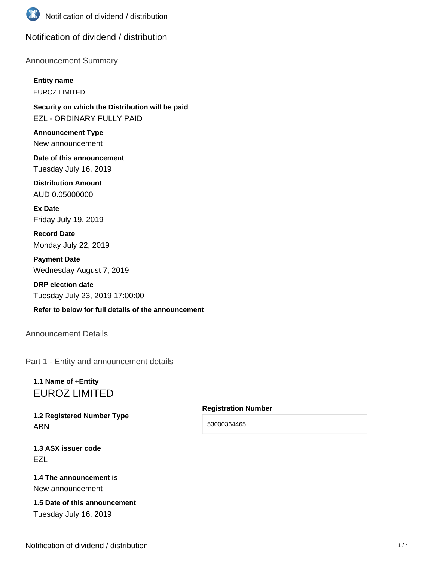

# Notification of dividend / distribution

## Announcement Summary

**Entity name**

EUROZ LIMITED

**Security on which the Distribution will be paid** EZL - ORDINARY FULLY PAID

**Announcement Type** New announcement

**Date of this announcement** Tuesday July 16, 2019

**Distribution Amount** AUD 0.05000000

**Ex Date** Friday July 19, 2019

**Record Date** Monday July 22, 2019

**Payment Date** Wednesday August 7, 2019

**DRP election date** Tuesday July 23, 2019 17:00:00

**Refer to below for full details of the announcement**

# Announcement Details

Part 1 - Entity and announcement details

# **1.1 Name of +Entity** EUROZ LIMITED

**1.2 Registered Number Type** ABN

**1.3 ASX issuer code EZL** 

# **1.4 The announcement is** New announcement

**1.5 Date of this announcement** Tuesday July 16, 2019

#### **Registration Number**

53000364465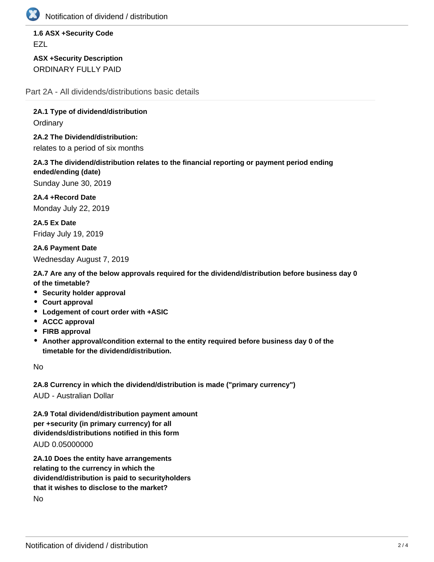

Notification of dividend / distribution

**1.6 ASX +Security Code EZL** 

**ASX +Security Description** ORDINARY FULLY PAID

Part 2A - All dividends/distributions basic details

**2A.1 Type of dividend/distribution Ordinary** 

**2A.2 The Dividend/distribution:** relates to a period of six months

**2A.3 The dividend/distribution relates to the financial reporting or payment period ending ended/ending (date)**

Sunday June 30, 2019

**2A.4 +Record Date** Monday July 22, 2019

**2A.5 Ex Date** Friday July 19, 2019

**2A.6 Payment Date** Wednesday August 7, 2019

**2A.7 Are any of the below approvals required for the dividend/distribution before business day 0 of the timetable?**

- **Security holder approval**
- **Court approval**
- **Lodgement of court order with +ASIC**
- **ACCC approval**
- **FIRB approval**
- **Another approval/condition external to the entity required before business day 0 of the timetable for the dividend/distribution.**

No

**2A.8 Currency in which the dividend/distribution is made ("primary currency")** AUD - Australian Dollar

**2A.9 Total dividend/distribution payment amount per +security (in primary currency) for all dividends/distributions notified in this form**

AUD 0.05000000

**2A.10 Does the entity have arrangements relating to the currency in which the dividend/distribution is paid to securityholders that it wishes to disclose to the market?** No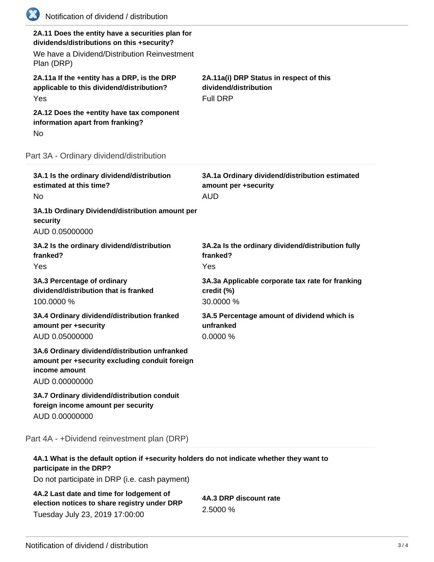| (XX)<br>Notification of dividend / distribution                                                                                                              |                                                                                      |
|--------------------------------------------------------------------------------------------------------------------------------------------------------------|--------------------------------------------------------------------------------------|
| 2A.11 Does the entity have a securities plan for<br>dividends/distributions on this +security?<br>We have a Dividend/Distribution Reinvestment<br>Plan (DRP) |                                                                                      |
| 2A.11a If the +entity has a DRP, is the DRP<br>applicable to this dividend/distribution?<br>Yes                                                              | 2A.11a(i) DRP Status in respect of this<br>dividend/distribution<br><b>Full DRP</b>  |
| 2A.12 Does the +entity have tax component<br>information apart from franking?<br>No                                                                          |                                                                                      |
| Part 3A - Ordinary dividend/distribution                                                                                                                     |                                                                                      |
| 3A.1 Is the ordinary dividend/distribution<br>estimated at this time?<br>No.                                                                                 | 3A.1a Ordinary dividend/distribution estimated<br>amount per +security<br><b>AUD</b> |
| 3A.1b Ordinary Dividend/distribution amount per<br>security<br>AUD 0.05000000                                                                                |                                                                                      |
| 3A.2 Is the ordinary dividend/distribution<br>franked?<br>Yes                                                                                                | 3A.2a Is the ordinary dividend/distribution fully<br>franked?<br>Yes                 |
| 3A.3 Percentage of ordinary<br>dividend/distribution that is franked<br>100.0000 %                                                                           | 3A.3a Applicable corporate tax rate for franking<br>credit (%)<br>30.0000 %          |
| 3A.4 Ordinary dividend/distribution franked<br>amount per +security<br>AUD 0.05000000                                                                        | 3A.5 Percentage amount of dividend which is<br>unfranked<br>0.0000%                  |
| 3A.6 Ordinary dividend/distribution unfranked<br>amount per +security excluding conduit foreign<br>income amount<br>AUD 0.00000000                           |                                                                                      |
| 3A.7 Ordinary dividend/distribution conduit<br>foreign income amount per security<br>AUD 0.00000000                                                          |                                                                                      |
| Part 4A - +Dividend reinvestment plan (DRP)                                                                                                                  |                                                                                      |
| 4A.1 What is the default option if +security holders do not indicate whether they want to<br>participate in the DRP?                                         |                                                                                      |

Do not participate in DRP (i.e. cash payment)

| 4A.2 Last date and time for lodgement of     |  |
|----------------------------------------------|--|
| election notices to share registry under DRP |  |
| Tuesday July 23, 2019 17:00:00               |  |

**4A.3 DRP discount rate** 2.5000 %